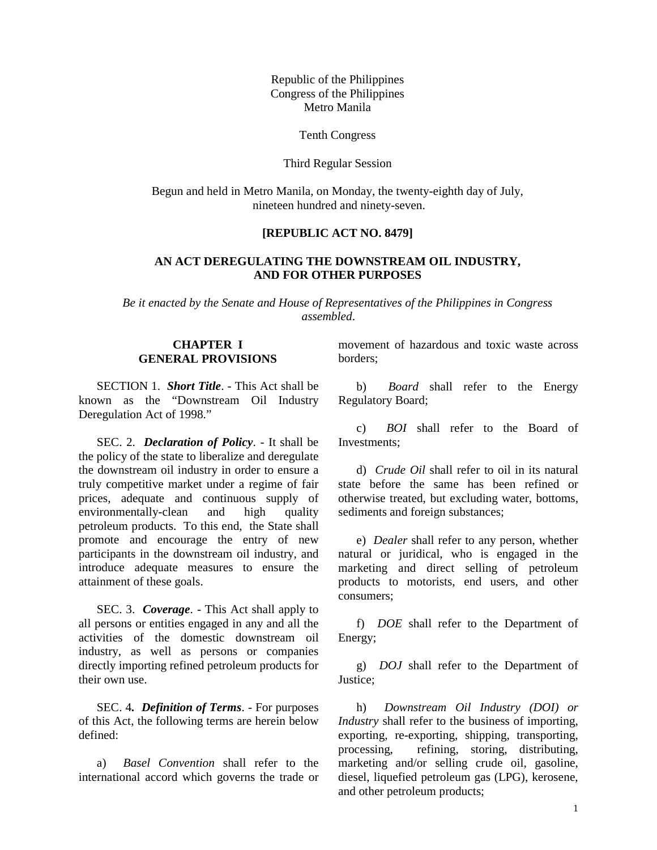Republic of the Philippines Congress of the Philippines Metro Manila

Tenth Congress

#### Third Regular Session

Begun and held in Metro Manila, on Monday, the twenty-eighth day of July, nineteen hundred and ninety-seven.

## **[REPUBLIC ACT NO. 8479]**

## **AN ACT DEREGULATING THE DOWNSTREAM OIL INDUSTRY, AND FOR OTHER PURPOSES**

*Be it enacted by the Senate and House of Representatives of the Philippines in Congress assembled*.

## **CHAPTER I GENERAL PROVISIONS**

SECTION 1. *Short Title*. - This Act shall be known as the "Downstream Oil Industry Deregulation Act of 1998."

SEC. 2. *Declaration of Policy*. - It shall be the policy of the state to liberalize and deregulate the downstream oil industry in order to ensure a truly competitive market under a regime of fair prices, adequate and continuous supply of environmentally-clean and high quality petroleum products. To this end, the State shall promote and encourage the entry of new participants in the downstream oil industry, and introduce adequate measures to ensure the attainment of these goals.

SEC. 3. *Coverage*. - This Act shall apply to all persons or entities engaged in any and all the activities of the domestic downstream oil industry, as well as persons or companies directly importing refined petroleum products for their own use.

SEC. 4*. Definition of Terms*. - For purposes of this Act, the following terms are herein below defined:

a) *Basel Convention* shall refer to the international accord which governs the trade or

movement of hazardous and toxic waste across borders;

b) *Board* shall refer to the Energy Regulatory Board;

c) *BOI* shall refer to the Board of Investments;

d) *Crude Oil* shall refer to oil in its natural state before the same has been refined or otherwise treated, but excluding water, bottoms, sediments and foreign substances;

e) *Dealer* shall refer to any person, whether natural or juridical, who is engaged in the marketing and direct selling of petroleum products to motorists, end users, and other consumers;

f) *DOE* shall refer to the Department of Energy;

g) *DOJ* shall refer to the Department of Justice;

h) *Downstream Oil Industry (DOI) or Industry* shall refer to the business of importing, exporting, re-exporting, shipping, transporting, processing, refining, storing, distributing, marketing and/or selling crude oil, gasoline, diesel, liquefied petroleum gas (LPG), kerosene, and other petroleum products;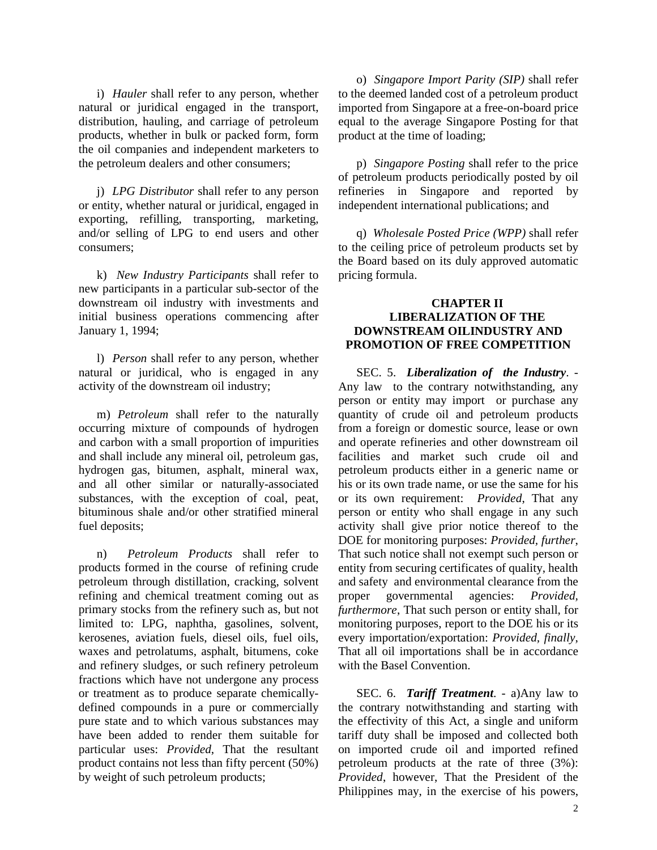i) *Hauler* shall refer to any person, whether natural or juridical engaged in the transport, distribution, hauling, and carriage of petroleum products, whether in bulk or packed form, form the oil companies and independent marketers to the petroleum dealers and other consumers;

j) *LPG Distributor* shall refer to any person or entity, whether natural or juridical, engaged in exporting, refilling, transporting, marketing, and/or selling of LPG to end users and other consumers;

k) *New Industry Participants* shall refer to new participants in a particular sub-sector of the downstream oil industry with investments and initial business operations commencing after January 1, 1994;

l) *Person* shall refer to any person, whether natural or juridical, who is engaged in any activity of the downstream oil industry;

m) *Petroleum* shall refer to the naturally occurring mixture of compounds of hydrogen and carbon with a small proportion of impurities and shall include any mineral oil, petroleum gas, hydrogen gas, bitumen, asphalt, mineral wax, and all other similar or naturally-associated substances, with the exception of coal, peat, bituminous shale and/or other stratified mineral fuel deposits;

n) *Petroleum Products* shall refer to products formed in the course of refining crude petroleum through distillation, cracking, solvent refining and chemical treatment coming out as primary stocks from the refinery such as, but not limited to: LPG, naphtha, gasolines, solvent, kerosenes, aviation fuels, diesel oils, fuel oils, waxes and petrolatums, asphalt, bitumens, coke and refinery sludges, or such refinery petroleum fractions which have not undergone any process or treatment as to produce separate chemicallydefined compounds in a pure or commercially pure state and to which various substances may have been added to render them suitable for particular uses: *Provided*, That the resultant product contains not less than fifty percent (50%) by weight of such petroleum products;

o) *Singapore Import Parity (SIP)* shall refer to the deemed landed cost of a petroleum product imported from Singapore at a free-on-board price equal to the average Singapore Posting for that product at the time of loading;

p) *Singapore Posting* shall refer to the price of petroleum products periodically posted by oil refineries in Singapore and reported by independent international publications; and

q) *Wholesale Posted Price (WPP)* shall refer to the ceiling price of petroleum products set by the Board based on its duly approved automatic pricing formula.

### **CHAPTER II LIBERALIZATION OF THE DOWNSTREAM OILINDUSTRY AND PROMOTION OF FREE COMPETITION**

SEC. 5. *Liberalization of the Industry*. - Any law to the contrary notwithstanding, any person or entity may import or purchase any quantity of crude oil and petroleum products from a foreign or domestic source, lease or own and operate refineries and other downstream oil facilities and market such crude oil and petroleum products either in a generic name or his or its own trade name, or use the same for his or its own requirement: *Provided*, That any person or entity who shall engage in any such activity shall give prior notice thereof to the DOE for monitoring purposes: *Provided, further*, That such notice shall not exempt such person or entity from securing certificates of quality, health and safety and environmental clearance from the proper governmental agencies: *Provided, furthermore*, That such person or entity shall, for monitoring purposes, report to the DOE his or its every importation/exportation: *Provided, finally*, That all oil importations shall be in accordance with the Basel Convention.

SEC. 6. *Tariff Treatment*. - a)Any law to the contrary notwithstanding and starting with the effectivity of this Act, a single and uniform tariff duty shall be imposed and collected both on imported crude oil and imported refined petroleum products at the rate of three (3%): *Provided*, however, That the President of the Philippines may, in the exercise of his powers,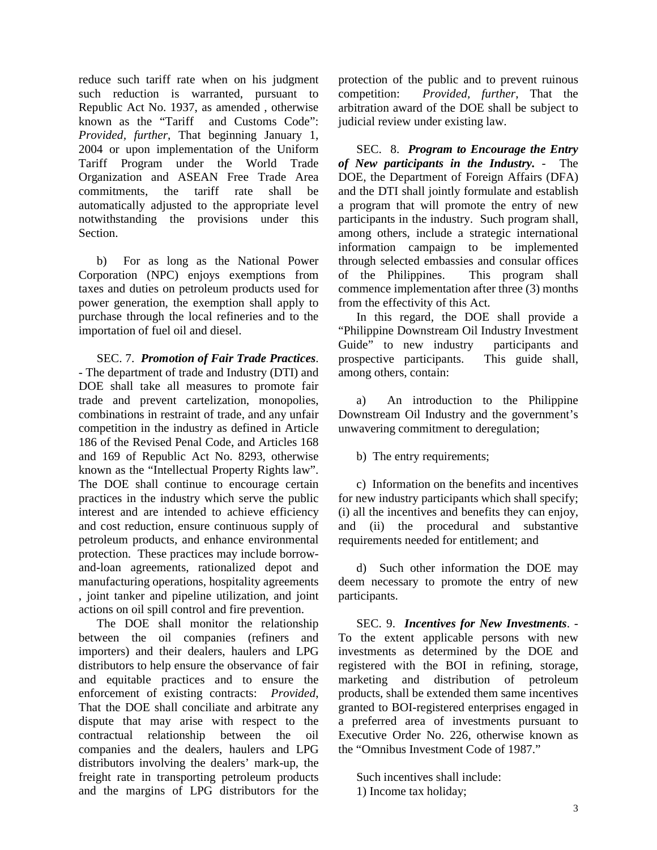reduce such tariff rate when on his judgment such reduction is warranted, pursuant to Republic Act No. 1937, as amended , otherwise known as the "Tariff and Customs Code": *Provided, further*, That beginning January 1, 2004 or upon implementation of the Uniform Tariff Program under the World Trade Organization and ASEAN Free Trade Area commitments, the tariff rate shall be automatically adjusted to the appropriate level notwithstanding the provisions under this **Section** 

b) For as long as the National Power Corporation (NPC) enjoys exemptions from taxes and duties on petroleum products used for power generation, the exemption shall apply to purchase through the local refineries and to the importation of fuel oil and diesel.

SEC. 7. *Promotion of Fair Trade Practices*. - The department of trade and Industry (DTI) and DOE shall take all measures to promote fair trade and prevent cartelization, monopolies, combinations in restraint of trade, and any unfair competition in the industry as defined in Article 186 of the Revised Penal Code, and Articles 168 and 169 of Republic Act No. 8293, otherwise known as the "Intellectual Property Rights law". The DOE shall continue to encourage certain practices in the industry which serve the public interest and are intended to achieve efficiency and cost reduction, ensure continuous supply of petroleum products, and enhance environmental protection. These practices may include borrowand-loan agreements, rationalized depot and manufacturing operations, hospitality agreements , joint tanker and pipeline utilization, and joint actions on oil spill control and fire prevention.

The DOE shall monitor the relationship between the oil companies (refiners and importers) and their dealers, haulers and LPG distributors to help ensure the observance of fair and equitable practices and to ensure the enforcement of existing contracts: *Provided*, That the DOE shall conciliate and arbitrate any dispute that may arise with respect to the contractual relationship between the oil companies and the dealers, haulers and LPG distributors involving the dealers' mark-up, the freight rate in transporting petroleum products and the margins of LPG distributors for the

protection of the public and to prevent ruinous competition: *Provided, further*, That the arbitration award of the DOE shall be subject to judicial review under existing law.

SEC. 8. *Program to Encourage the Entry of New participants in the Industry.* - The DOE, the Department of Foreign Affairs (DFA) and the DTI shall jointly formulate and establish a program that will promote the entry of new participants in the industry. Such program shall, among others, include a strategic international information campaign to be implemented through selected embassies and consular offices of the Philippines. This program shall commence implementation after three (3) months from the effectivity of this Act.

In this regard, the DOE shall provide a "Philippine Downstream Oil Industry Investment Guide" to new industry participants and prospective participants. This guide shall, among others, contain:

a) An introduction to the Philippine Downstream Oil Industry and the government's unwavering commitment to deregulation;

b) The entry requirements;

c) Information on the benefits and incentives for new industry participants which shall specify; (i) all the incentives and benefits they can enjoy, and (ii) the procedural and substantive requirements needed for entitlement; and

d) Such other information the DOE may deem necessary to promote the entry of new participants.

SEC. 9. *Incentives for New Investments*. - To the extent applicable persons with new investments as determined by the DOE and registered with the BOI in refining, storage, marketing and distribution of petroleum products, shall be extended them same incentives granted to BOI-registered enterprises engaged in a preferred area of investments pursuant to Executive Order No. 226, otherwise known as the "Omnibus Investment Code of 1987."

Such incentives shall include: 1) Income tax holiday;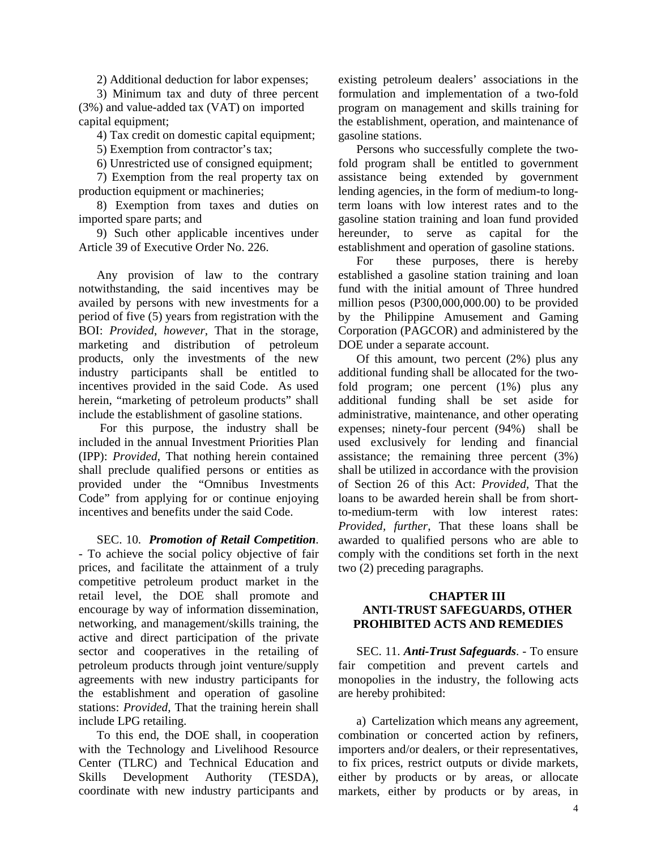2) Additional deduction for labor expenses;

3) Minimum tax and duty of three percent (3%) and value-added tax (VAT) on imported capital equipment;

4) Tax credit on domestic capital equipment;

5) Exemption from contractor's tax;

6) Unrestricted use of consigned equipment;

7) Exemption from the real property tax on production equipment or machineries;

8) Exemption from taxes and duties on imported spare parts; and

9) Such other applicable incentives under Article 39 of Executive Order No. 226.

Any provision of law to the contrary notwithstanding, the said incentives may be availed by persons with new investments for a period of five (5) years from registration with the BOI: *Provided*, *however*, That in the storage, marketing and distribution of petroleum products, only the investments of the new industry participants shall be entitled to incentives provided in the said Code. As used herein, "marketing of petroleum products" shall include the establishment of gasoline stations.

 For this purpose, the industry shall be included in the annual Investment Priorities Plan (IPP): *Provided*, That nothing herein contained shall preclude qualified persons or entities as provided under the "Omnibus Investments Code" from applying for or continue enjoying incentives and benefits under the said Code.

SEC. 10. *Promotion of Retail Competition*.

- To achieve the social policy objective of fair prices, and facilitate the attainment of a truly competitive petroleum product market in the retail level, the DOE shall promote and encourage by way of information dissemination, networking, and management/skills training, the active and direct participation of the private sector and cooperatives in the retailing of petroleum products through joint venture/supply agreements with new industry participants for the establishment and operation of gasoline stations: *Provided,* That the training herein shall include LPG retailing.

To this end, the DOE shall, in cooperation with the Technology and Livelihood Resource Center (TLRC) and Technical Education and Skills Development Authority (TESDA), coordinate with new industry participants and

existing petroleum dealers' associations in the formulation and implementation of a two-fold program on management and skills training for the establishment, operation, and maintenance of gasoline stations.

Persons who successfully complete the twofold program shall be entitled to government assistance being extended by government lending agencies, in the form of medium-to longterm loans with low interest rates and to the gasoline station training and loan fund provided hereunder, to serve as capital for the establishment and operation of gasoline stations.

For these purposes, there is hereby established a gasoline station training and loan fund with the initial amount of Three hundred million pesos (P300,000,000.00) to be provided by the Philippine Amusement and Gaming Corporation (PAGCOR) and administered by the DOE under a separate account.

Of this amount, two percent (2%) plus any additional funding shall be allocated for the twofold program; one percent (1%) plus any additional funding shall be set aside for administrative, maintenance, and other operating expenses; ninety-four percent (94%) shall be used exclusively for lending and financial assistance; the remaining three percent (3%) shall be utilized in accordance with the provision of Section 26 of this Act: *Provided*, That the loans to be awarded herein shall be from shortto-medium-term with low interest rates: *Provided, further*, That these loans shall be awarded to qualified persons who are able to comply with the conditions set forth in the next two (2) preceding paragraphs.

#### **CHAPTER III ANTI-TRUST SAFEGUARDS, OTHER PROHIBITED ACTS AND REMEDIES**

SEC. 11. *Anti-Trust Safeguards*. - To ensure fair competition and prevent cartels and monopolies in the industry, the following acts are hereby prohibited:

a) Cartelization which means any agreement, combination or concerted action by refiners, importers and/or dealers, or their representatives, to fix prices, restrict outputs or divide markets, either by products or by areas, or allocate markets, either by products or by areas, in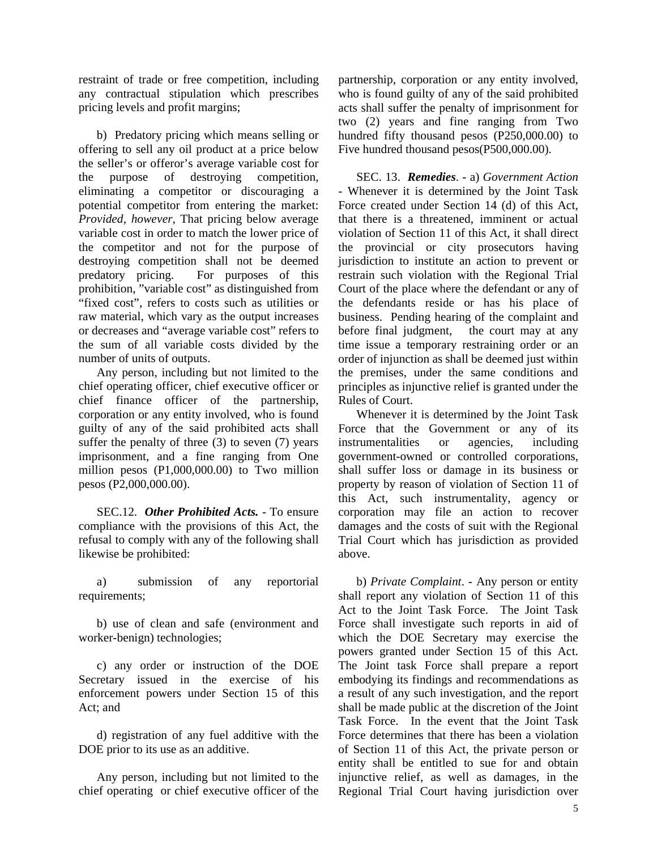restraint of trade or free competition, including any contractual stipulation which prescribes pricing levels and profit margins;

b) Predatory pricing which means selling or offering to sell any oil product at a price below the seller's or offeror's average variable cost for the purpose of destroying competition, eliminating a competitor or discouraging a potential competitor from entering the market: *Provided, however*, That pricing below average variable cost in order to match the lower price of the competitor and not for the purpose of destroying competition shall not be deemed predatory pricing. For purposes of this prohibition, "variable cost" as distinguished from "fixed cost", refers to costs such as utilities or raw material, which vary as the output increases or decreases and "average variable cost" refers to the sum of all variable costs divided by the number of units of outputs.

Any person, including but not limited to the chief operating officer, chief executive officer or chief finance officer of the partnership, corporation or any entity involved, who is found guilty of any of the said prohibited acts shall suffer the penalty of three (3) to seven (7) years imprisonment, and a fine ranging from One million pesos (P1,000,000.00) to Two million pesos (P2,000,000.00).

SEC.12. *Other Prohibited Acts.* - To ensure compliance with the provisions of this Act, the refusal to comply with any of the following shall likewise be prohibited:

a) submission of any reportorial requirements;

b) use of clean and safe (environment and worker-benign) technologies;

c) any order or instruction of the DOE Secretary issued in the exercise of his enforcement powers under Section 15 of this Act; and

d) registration of any fuel additive with the DOE prior to its use as an additive.

Any person, including but not limited to the chief operating or chief executive officer of the

partnership, corporation or any entity involved, who is found guilty of any of the said prohibited acts shall suffer the penalty of imprisonment for two (2) years and fine ranging from Two hundred fifty thousand pesos (P250,000.00) to Five hundred thousand pesos(P500,000.00).

SEC. 13. *Remedies*. - a) *Government Action* - Whenever it is determined by the Joint Task Force created under Section 14 (d) of this Act, that there is a threatened, imminent or actual violation of Section 11 of this Act, it shall direct the provincial or city prosecutors having jurisdiction to institute an action to prevent or restrain such violation with the Regional Trial Court of the place where the defendant or any of the defendants reside or has his place of business. Pending hearing of the complaint and before final judgment, the court may at any time issue a temporary restraining order or an order of injunction as shall be deemed just within the premises, under the same conditions and principles as injunctive relief is granted under the Rules of Court.

Whenever it is determined by the Joint Task Force that the Government or any of its instrumentalities or agencies, including government-owned or controlled corporations, shall suffer loss or damage in its business or property by reason of violation of Section 11 of this Act, such instrumentality, agency or corporation may file an action to recover damages and the costs of suit with the Regional Trial Court which has jurisdiction as provided above.

b) *Private Complaint*. - Any person or entity shall report any violation of Section 11 of this Act to the Joint Task Force. The Joint Task Force shall investigate such reports in aid of which the DOE Secretary may exercise the powers granted under Section 15 of this Act. The Joint task Force shall prepare a report embodying its findings and recommendations as a result of any such investigation, and the report shall be made public at the discretion of the Joint Task Force. In the event that the Joint Task Force determines that there has been a violation of Section 11 of this Act, the private person or entity shall be entitled to sue for and obtain injunctive relief, as well as damages, in the Regional Trial Court having jurisdiction over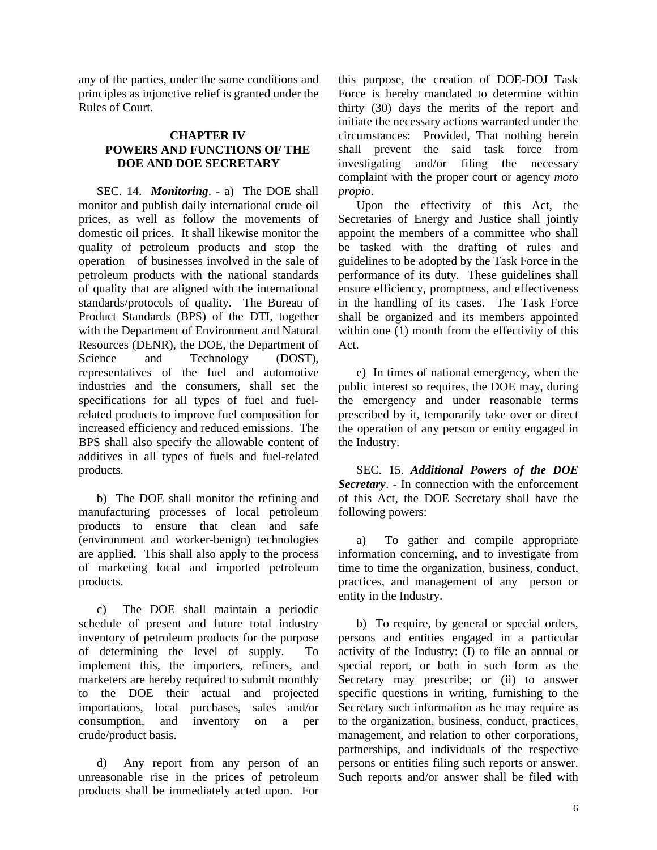any of the parties, under the same conditions and principles as injunctive relief is granted under the Rules of Court.

## **CHAPTER IV POWERS AND FUNCTIONS OF THE DOE AND DOE SECRETARY**

SEC. 14. *Monitoring*. - a) The DOE shall monitor and publish daily international crude oil prices, as well as follow the movements of domestic oil prices. It shall likewise monitor the quality of petroleum products and stop the operation of businesses involved in the sale of petroleum products with the national standards of quality that are aligned with the international standards/protocols of quality. The Bureau of Product Standards (BPS) of the DTI, together with the Department of Environment and Natural Resources (DENR), the DOE, the Department of Science and Technology (DOST), representatives of the fuel and automotive industries and the consumers, shall set the specifications for all types of fuel and fuelrelated products to improve fuel composition for increased efficiency and reduced emissions. The BPS shall also specify the allowable content of additives in all types of fuels and fuel-related products.

b) The DOE shall monitor the refining and manufacturing processes of local petroleum products to ensure that clean and safe (environment and worker-benign) technologies are applied. This shall also apply to the process of marketing local and imported petroleum products.

c) The DOE shall maintain a periodic schedule of present and future total industry inventory of petroleum products for the purpose of determining the level of supply. To implement this, the importers, refiners, and marketers are hereby required to submit monthly to the DOE their actual and projected importations, local purchases, sales and/or consumption, and inventory on a per crude/product basis.

d) Any report from any person of an unreasonable rise in the prices of petroleum products shall be immediately acted upon. For

this purpose, the creation of DOE-DOJ Task Force is hereby mandated to determine within thirty (30) days the merits of the report and initiate the necessary actions warranted under the circumstances: Provided, That nothing herein shall prevent the said task force from investigating and/or filing the necessary complaint with the proper court or agency *moto propio*.

Upon the effectivity of this Act, the Secretaries of Energy and Justice shall jointly appoint the members of a committee who shall be tasked with the drafting of rules and guidelines to be adopted by the Task Force in the performance of its duty. These guidelines shall ensure efficiency, promptness, and effectiveness in the handling of its cases. The Task Force shall be organized and its members appointed within one (1) month from the effectivity of this Act.

e) In times of national emergency, when the public interest so requires, the DOE may, during the emergency and under reasonable terms prescribed by it, temporarily take over or direct the operation of any person or entity engaged in the Industry.

SEC. 15. *Additional Powers of the DOE Secretary*. - In connection with the enforcement of this Act, the DOE Secretary shall have the following powers:

a) To gather and compile appropriate information concerning, and to investigate from time to time the organization, business, conduct, practices, and management of any person or entity in the Industry.

b) To require, by general or special orders, persons and entities engaged in a particular activity of the Industry: (I) to file an annual or special report, or both in such form as the Secretary may prescribe; or (ii) to answer specific questions in writing, furnishing to the Secretary such information as he may require as to the organization, business, conduct, practices, management, and relation to other corporations, partnerships, and individuals of the respective persons or entities filing such reports or answer. Such reports and/or answer shall be filed with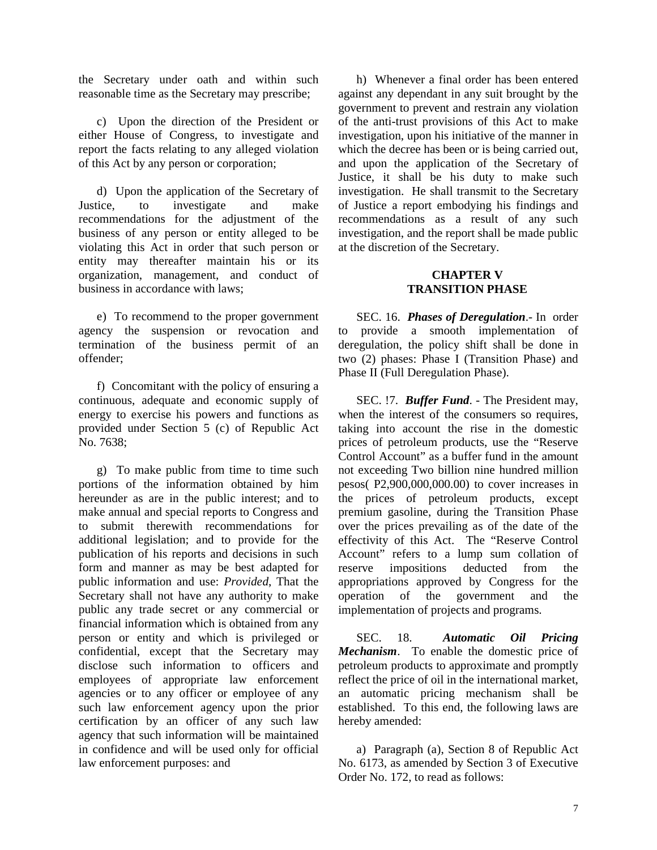the Secretary under oath and within such reasonable time as the Secretary may prescribe;

c) Upon the direction of the President or either House of Congress, to investigate and report the facts relating to any alleged violation of this Act by any person or corporation;

d) Upon the application of the Secretary of Justice, to investigate and make recommendations for the adjustment of the business of any person or entity alleged to be violating this Act in order that such person or entity may thereafter maintain his or its organization, management, and conduct of business in accordance with laws;

e) To recommend to the proper government agency the suspension or revocation and termination of the business permit of an offender;

f) Concomitant with the policy of ensuring a continuous, adequate and economic supply of energy to exercise his powers and functions as provided under Section 5 (c) of Republic Act No. 7638;

g) To make public from time to time such portions of the information obtained by him hereunder as are in the public interest; and to make annual and special reports to Congress and to submit therewith recommendations for additional legislation; and to provide for the publication of his reports and decisions in such form and manner as may be best adapted for public information and use: *Provided*, That the Secretary shall not have any authority to make public any trade secret or any commercial or financial information which is obtained from any person or entity and which is privileged or confidential, except that the Secretary may disclose such information to officers and employees of appropriate law enforcement agencies or to any officer or employee of any such law enforcement agency upon the prior certification by an officer of any such law agency that such information will be maintained in confidence and will be used only for official law enforcement purposes: and

h) Whenever a final order has been entered against any dependant in any suit brought by the government to prevent and restrain any violation of the anti-trust provisions of this Act to make investigation, upon his initiative of the manner in which the decree has been or is being carried out, and upon the application of the Secretary of Justice, it shall be his duty to make such investigation. He shall transmit to the Secretary of Justice a report embodying his findings and recommendations as a result of any such investigation, and the report shall be made public at the discretion of the Secretary.

## **CHAPTER V TRANSITION PHASE**

SEC. 16. *Phases of Deregulation*.- In order to provide a smooth implementation of deregulation, the policy shift shall be done in two (2) phases: Phase I (Transition Phase) and Phase II (Full Deregulation Phase).

SEC. !7. *Buffer Fund*. - The President may, when the interest of the consumers so requires, taking into account the rise in the domestic prices of petroleum products, use the "Reserve Control Account" as a buffer fund in the amount not exceeding Two billion nine hundred million pesos( P2,900,000,000.00) to cover increases in the prices of petroleum products, except premium gasoline, during the Transition Phase over the prices prevailing as of the date of the effectivity of this Act. The "Reserve Control Account" refers to a lump sum collation of reserve impositions deducted from the appropriations approved by Congress for the operation of the government and the implementation of projects and programs.

SEC. 18. *Automatic Oil Pricing Mechanism*. To enable the domestic price of petroleum products to approximate and promptly reflect the price of oil in the international market, an automatic pricing mechanism shall be established. To this end, the following laws are hereby amended:

a) Paragraph (a), Section 8 of Republic Act No. 6173, as amended by Section 3 of Executive Order No. 172, to read as follows: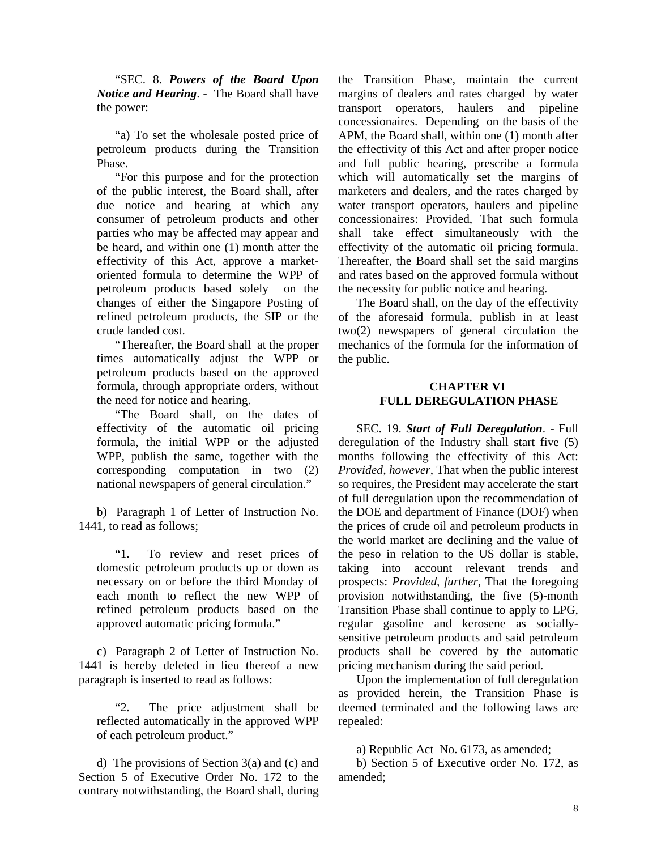"SEC. 8. *Powers of the Board Upon Notice and Hearing*. - The Board shall have the power:

"a) To set the wholesale posted price of petroleum products during the Transition Phase.

"For this purpose and for the protection of the public interest, the Board shall, after due notice and hearing at which any consumer of petroleum products and other parties who may be affected may appear and be heard, and within one (1) month after the effectivity of this Act, approve a marketoriented formula to determine the WPP of petroleum products based solely on the changes of either the Singapore Posting of refined petroleum products, the SIP or the crude landed cost.

"Thereafter, the Board shall at the proper times automatically adjust the WPP or petroleum products based on the approved formula, through appropriate orders, without the need for notice and hearing.

"The Board shall, on the dates of effectivity of the automatic oil pricing formula, the initial WPP or the adjusted WPP, publish the same, together with the corresponding computation in two (2) national newspapers of general circulation."

b) Paragraph 1 of Letter of Instruction No. 1441, to read as follows;

"1. To review and reset prices of domestic petroleum products up or down as necessary on or before the third Monday of each month to reflect the new WPP of refined petroleum products based on the approved automatic pricing formula."

c) Paragraph 2 of Letter of Instruction No. 1441 is hereby deleted in lieu thereof a new paragraph is inserted to read as follows:

"2. The price adjustment shall be reflected automatically in the approved WPP of each petroleum product."

d) The provisions of Section 3(a) and (c) and Section 5 of Executive Order No. 172 to the contrary notwithstanding, the Board shall, during

the Transition Phase, maintain the current margins of dealers and rates charged by water transport operators, haulers and pipeline concessionaires. Depending on the basis of the APM, the Board shall, within one (1) month after the effectivity of this Act and after proper notice and full public hearing, prescribe a formula which will automatically set the margins of marketers and dealers, and the rates charged by water transport operators, haulers and pipeline concessionaires: Provided, That such formula shall take effect simultaneously with the effectivity of the automatic oil pricing formula. Thereafter, the Board shall set the said margins and rates based on the approved formula without the necessity for public notice and hearing.

The Board shall, on the day of the effectivity of the aforesaid formula, publish in at least two(2) newspapers of general circulation the mechanics of the formula for the information of the public.

## **CHAPTER VI FULL DEREGULATION PHASE**

SEC. 19. *Start of Full Deregulation*. - Full deregulation of the Industry shall start five (5) months following the effectivity of this Act: *Provided, however*, That when the public interest so requires, the President may accelerate the start of full deregulation upon the recommendation of the DOE and department of Finance (DOF) when the prices of crude oil and petroleum products in the world market are declining and the value of the peso in relation to the US dollar is stable, taking into account relevant trends and prospects: *Provided, further*, That the foregoing provision notwithstanding, the five (5)-month Transition Phase shall continue to apply to LPG, regular gasoline and kerosene as sociallysensitive petroleum products and said petroleum products shall be covered by the automatic pricing mechanism during the said period.

Upon the implementation of full deregulation as provided herein, the Transition Phase is deemed terminated and the following laws are repealed:

a) Republic Act No. 6173, as amended;

b) Section 5 of Executive order No. 172, as amended;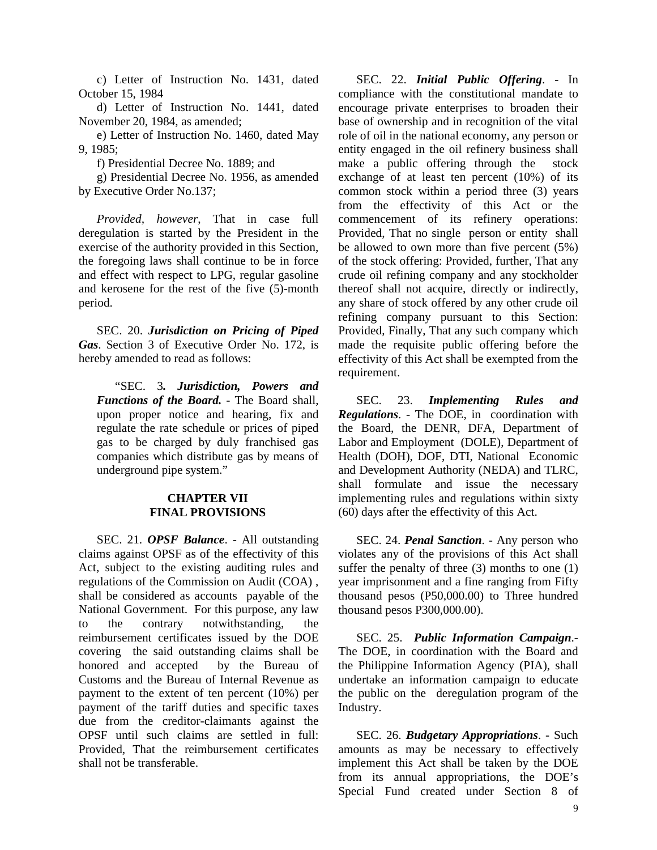c) Letter of Instruction No. 1431, dated October 15, 1984

d) Letter of Instruction No. 1441, dated November 20, 1984, as amended;

e) Letter of Instruction No. 1460, dated May 9, 1985;

f) Presidential Decree No. 1889; and

g) Presidential Decree No. 1956, as amended by Executive Order No.137;

*Provided, however*, That in case full deregulation is started by the President in the exercise of the authority provided in this Section, the foregoing laws shall continue to be in force and effect with respect to LPG, regular gasoline and kerosene for the rest of the five (5)-month period.

SEC. 20. *Jurisdiction on Pricing of Piped Gas*. Section 3 of Executive Order No. 172, is hereby amended to read as follows:

"SEC. 3*. Jurisdiction, Powers and Functions of the Board.* - The Board shall, upon proper notice and hearing, fix and regulate the rate schedule or prices of piped gas to be charged by duly franchised gas companies which distribute gas by means of underground pipe system."

### **CHAPTER VII FINAL PROVISIONS**

SEC. 21. *OPSF Balance*. - All outstanding claims against OPSF as of the effectivity of this Act, subject to the existing auditing rules and regulations of the Commission on Audit (COA) , shall be considered as accounts payable of the National Government. For this purpose, any law to the contrary notwithstanding, the reimbursement certificates issued by the DOE covering the said outstanding claims shall be honored and accepted by the Bureau of Customs and the Bureau of Internal Revenue as payment to the extent of ten percent (10%) per payment of the tariff duties and specific taxes due from the creditor-claimants against the OPSF until such claims are settled in full: Provided, That the reimbursement certificates shall not be transferable.

SEC. 22. *Initial Public Offering*. - In compliance with the constitutional mandate to encourage private enterprises to broaden their base of ownership and in recognition of the vital role of oil in the national economy, any person or entity engaged in the oil refinery business shall make a public offering through the stock exchange of at least ten percent (10%) of its common stock within a period three (3) years from the effectivity of this Act or the commencement of its refinery operations: Provided, That no single person or entity shall be allowed to own more than five percent (5%) of the stock offering: Provided, further, That any crude oil refining company and any stockholder thereof shall not acquire, directly or indirectly, any share of stock offered by any other crude oil refining company pursuant to this Section: Provided, Finally, That any such company which made the requisite public offering before the effectivity of this Act shall be exempted from the requirement.

SEC. 23. *Implementing Rules and Regulations*. - The DOE, in coordination with the Board, the DENR, DFA, Department of Labor and Employment (DOLE), Department of Health (DOH), DOF, DTI, National Economic and Development Authority (NEDA) and TLRC, shall formulate and issue the necessary implementing rules and regulations within sixty (60) days after the effectivity of this Act.

SEC. 24. *Penal Sanction*. - Any person who violates any of the provisions of this Act shall suffer the penalty of three (3) months to one (1) year imprisonment and a fine ranging from Fifty thousand pesos (P50,000.00) to Three hundred thousand pesos P300,000.00).

SEC. 25. *Public Information Campaign*.- The DOE, in coordination with the Board and the Philippine Information Agency (PIA), shall undertake an information campaign to educate the public on the deregulation program of the Industry.

SEC. 26. *Budgetary Appropriations*. - Such amounts as may be necessary to effectively implement this Act shall be taken by the DOE from its annual appropriations, the DOE's Special Fund created under Section 8 of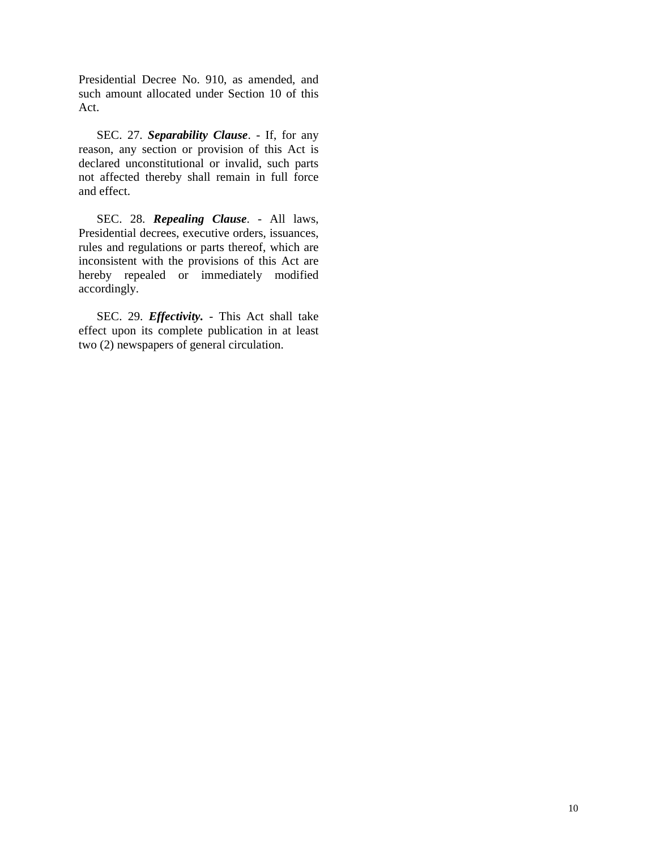Presidential Decree No. 910, as amended, and such amount allocated under Section 10 of this Act.

SEC. 27. *Separability Clause*. - If, for any reason, any section or provision of this Act is declared unconstitutional or invalid, such parts not affected thereby shall remain in full force and effect.

SEC. 28. *Repealing Clause*. - All laws, Presidential decrees, executive orders, issuances, rules and regulations or parts thereof, which are inconsistent with the provisions of this Act are hereby repealed or immediately modified accordingly.

SEC. 29. *Effectivity.* - This Act shall take effect upon its complete publication in at least two (2) newspapers of general circulation.